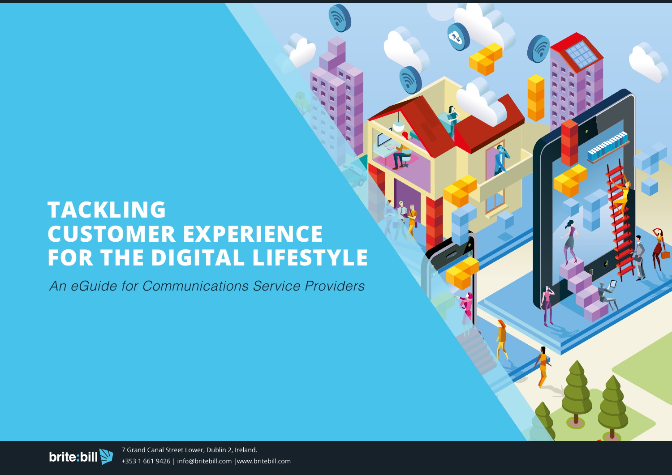## **TACKLING CUSTOMER EXPERIENCE FOR THE DIGITAL LIFESTYLE**

*An eGuide for Communications Service Providers*

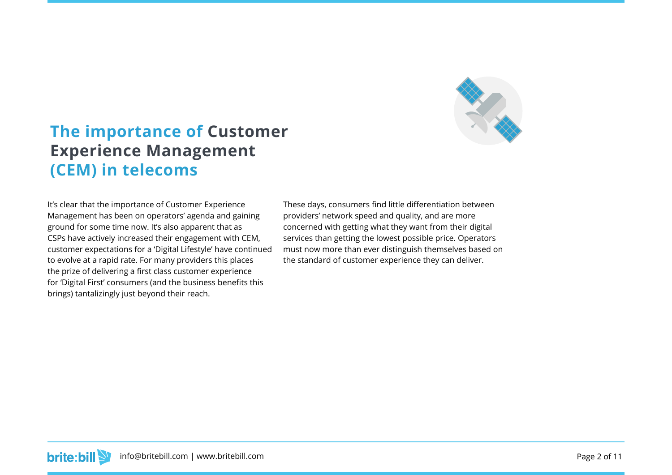

### **The importance of Customer Experience Management (CEM) in telecoms**

It's clear that the importance of Customer Experience Management has been on operators' agenda and gaining ground for some time now. It's also apparent that as CSPs have actively increased their engagement with CEM, customer expectations for a 'Digital Lifestyle' have continued to evolve at a rapid rate. For many providers this places the prize of delivering a first class customer experience for 'Digital First' consumers (and the business benefits this brings) tantalizingly just beyond their reach.

These days, consumers find little differentiation between providers' network speed and quality, and are more concerned with getting what they want from their digital services than getting the lowest possible price. Operators must now more than ever distinguish themselves based on the standard of customer experience they can deliver.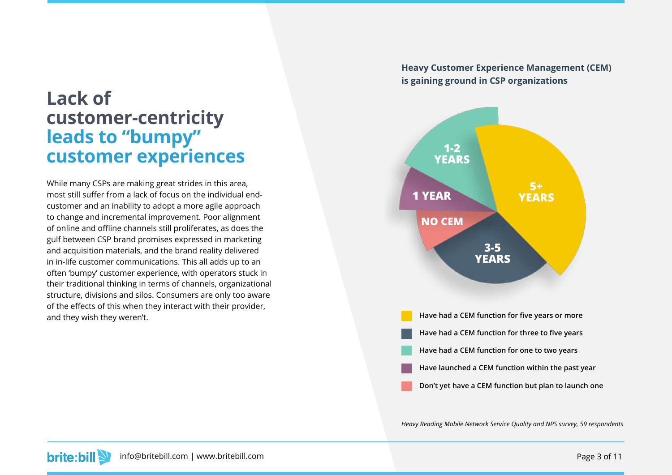## **Lack of customer-centricity leads to "bumpy" customer experiences**

While many CSPs are making great strides in this area, most still suffer from a lack of focus on the individual endcustomer and an inability to adopt a more agile approach to change and incremental improvement. Poor alignment of online and offline channels still proliferates, as does the gulf between CSP brand promises expressed in marketing and acquisition materials, and the brand reality delivered in in-life customer communications. This all adds up to an often 'bumpy' customer experience, with operators stuck in their traditional thinking in terms of channels, organizational structure, divisions and silos. Consumers are only too aware of the effects of this when they interact with their provider, and they wish they weren't.

**Heavy Customer Experience Management (CEM) is gaining ground in CSP organizations**



*Heavy Reading Mobile Network Service Quality and NPS survey, 59 respondents*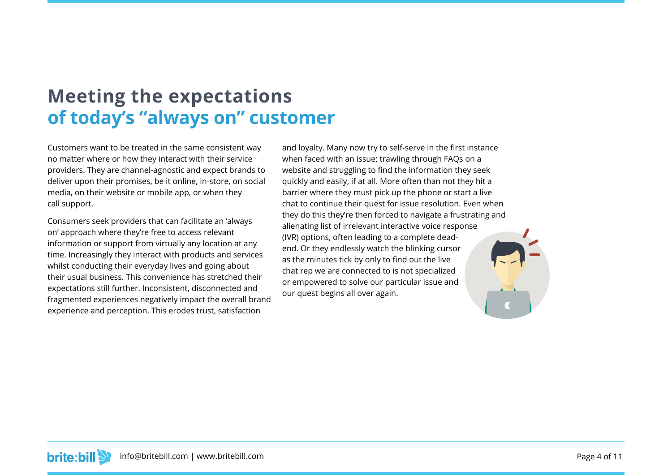## **Meeting the expectations of today's "always on" customer**

Customers want to be treated in the same consistent way no matter where or how they interact with their service providers. They are channel-agnostic and expect brands to deliver upon their promises, be it online, in-store, on social media, on their website or mobile app, or when they call support.

Consumers seek providers that can facilitate an 'always on' approach where they're free to access relevant information or support from virtually any location at any time. Increasingly they interact with products and services whilst conducting their everyday lives and going about their usual business. This convenience has stretched their expectations still further. Inconsistent, disconnected and fragmented experiences negatively impact the overall brand experience and perception. This erodes trust, satisfaction

and loyalty. Many now try to self-serve in the first instance when faced with an issue; trawling through FAQs on a website and struggling to find the information they seek quickly and easily, if at all. More often than not they hit a barrier where they must pick up the phone or start a live chat to continue their quest for issue resolution. Even when they do this they're then forced to navigate a frustrating and alienating list of irrelevant interactive voice response (IVR) options, often leading to a complete deadend. Or they endlessly watch the blinking cursor as the minutes tick by only to find out the live chat rep we are connected to is not specialized or empowered to solve our particular issue and our quest begins all over again.

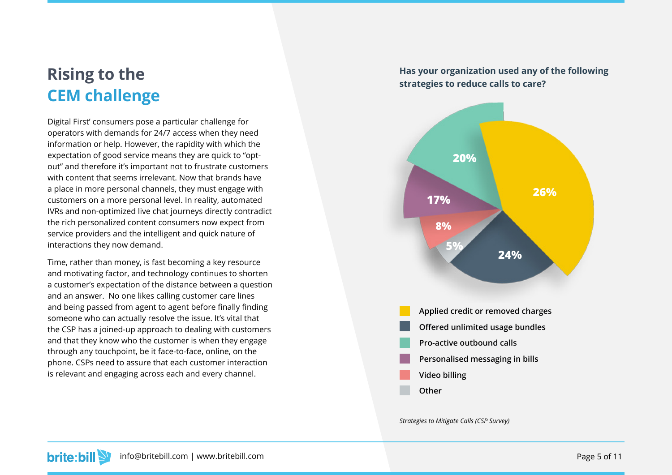## **Rising to the CEM challenge**

Digital First' consumers pose a particular challenge for operators with demands for 24/7 access when they need information or help. However, the rapidity with which the expectation of good service means they are quick to "optout" and therefore it's important not to frustrate customers with content that seems irrelevant. Now that brands have a place in more personal channels, they must engage with customers on a more personal level. In reality, automated IVRs and non-optimized live chat journeys directly contradict the rich personalized content consumers now expect from service providers and the intelligent and quick nature of interactions they now demand.

Time, rather than money, is fast becoming a key resource and motivating factor, and technology continues to shorten a customer's expectation of the distance between a question and an answer. No one likes calling customer care lines and being passed from agent to agent before finally finding someone who can actually resolve the issue. It's vital that the CSP has a joined-up approach to dealing with customers and that they know who the customer is when they engage through any touchpoint, be it face-to-face, online, on the phone. CSPs need to assure that each customer interaction is relevant and engaging across each and every channel.

#### **Has your organization used any of the following strategies to reduce calls to care?**



*Strategies to Mitigate Calls (CSP Survey)*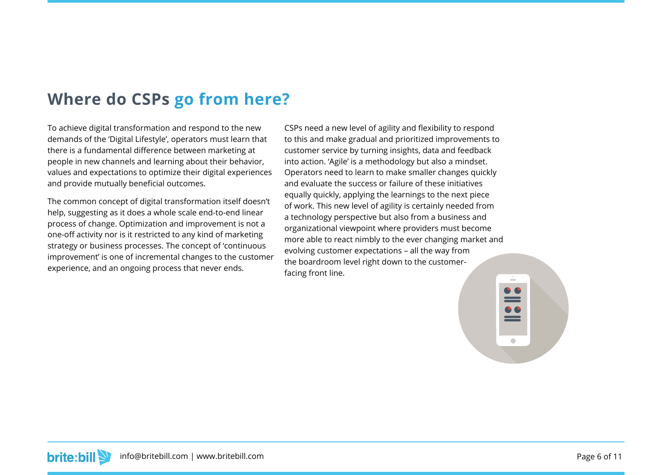### **Where do CSPs go from here?**

To achieve digital transformation and respond to the new demands of the 'Digital Lifestyle', operators must learn that there is a fundamental difference between marketing at people in new channels and learning about their behavior, values and expectations to optimize their digital experiences and provide mutually beneficial outcomes.

The common concept of digital transformation itself doesn't help, suggesting as it does a whole scale end-to-end linear process of change. Optimization and improvement is not a one-off activity nor is it restricted to any kind of marketing strategy or business processes. The concept of 'continuous improvement' is one of incremental changes to the customer experience, and an ongoing process that never ends.

CSPs need a new level of agility and flexibility to respond to this and make gradual and prioritized improvements to customer service by turning insights, data and feedback into action. 'Agile' is a methodology but also a mindset. Operators need to learn to make smaller changes quickly and evaluate the success or failure of these initiatives equally quickly, applying the learnings to the next piece of work. This new level of agility is certainly needed from a technology perspective but also from a business and organizational viewpoint where providers must become more able to react nimbly to the ever changing market and evolving customer expectations – all the way from the boardroom level right down to the customerfacing front line.

**brite:bill** info@britebill.com | www.britebill.com Page 6 of 11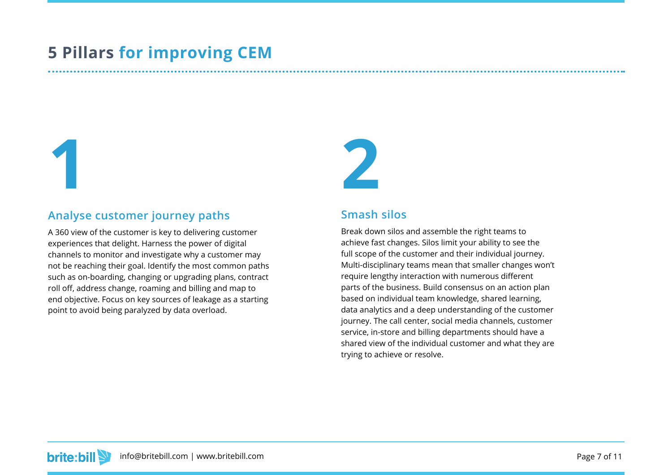## **5 Pillars for improving CEM**

**1 2**

#### **Analyse customer journey paths**

A 360 view of the customer is key to delivering customer experiences that delight. Harness the power of digital channels to monitor and investigate why a customer may not be reaching their goal. Identify the most common paths such as on-boarding, changing or upgrading plans, contract roll off, address change, roaming and billing and map to end objective. Focus on key sources of leakage as a starting point to avoid being paralyzed by data overload.

#### **Smash silos**

Break down silos and assemble the right teams to achieve fast changes. Silos limit your ability to see the full scope of the customer and their individual journey. Multi-disciplinary teams mean that smaller changes won't require lengthy interaction with numerous different parts of the business. Build consensus on an action plan based on individual team knowledge, shared learning, data analytics and a deep understanding of the customer journey. The call center, social media channels, customer service, in-store and billing departments should have a shared view of the individual customer and what they are trying to achieve or resolve.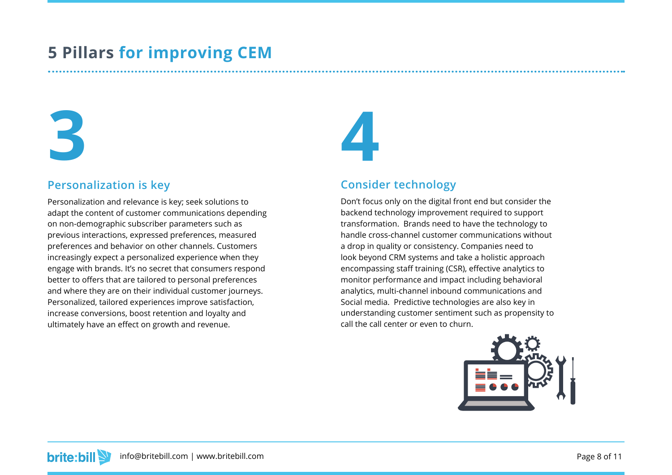## **5 Pillars for improving CEM**

# **3**

#### **Personalization is key**

Personalization and relevance is key; seek solutions to adapt the content of customer communications depending on non-demographic subscriber parameters such as previous interactions, expressed preferences, measured preferences and behavior on other channels. Customers increasingly expect a personalized experience when they engage with brands. It's no secret that consumers respond better to offers that are tailored to personal preferences and where they are on their individual customer journeys. Personalized, tailored experiences improve satisfaction, increase conversions, boost retention and loyalty and ultimately have an effect on growth and revenue.

#### **Consider technology**

**4**

Don't focus only on the digital front end but consider the backend technology improvement required to support transformation. Brands need to have the technology to handle cross-channel customer communications without a drop in quality or consistency. Companies need to look beyond CRM systems and take a holistic approach encompassing staff training (CSR), effective analytics to monitor performance and impact including behavioral analytics, multi-channel inbound communications and Social media. Predictive technologies are also key in understanding customer sentiment such as propensity to call the call center or even to churn.

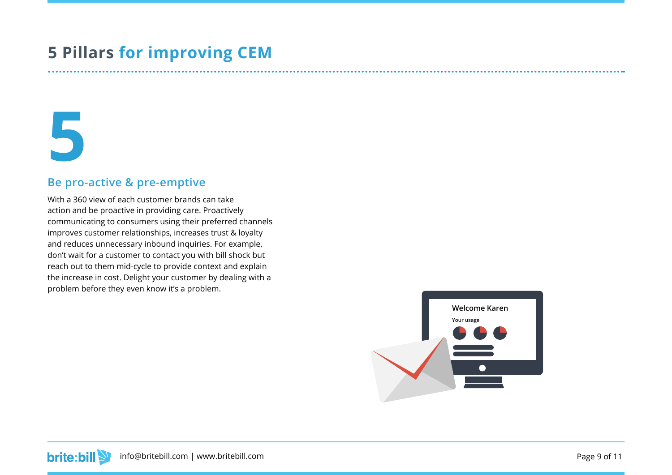## **5 Pillars for improving CEM**

## **5**

#### **Be pro-active & pre-emptive**

With a 360 view of each customer brands can take action and be proactive in providing care. Proactively communicating to consumers using their preferred channels improves customer relationships, increases trust & loyalty and reduces unnecessary inbound inquiries. For example, don't wait for a customer to contact you with bill shock but reach out to them mid-cycle to provide context and explain the increase in cost. Delight your customer by dealing with a problem before they even know it's a problem.

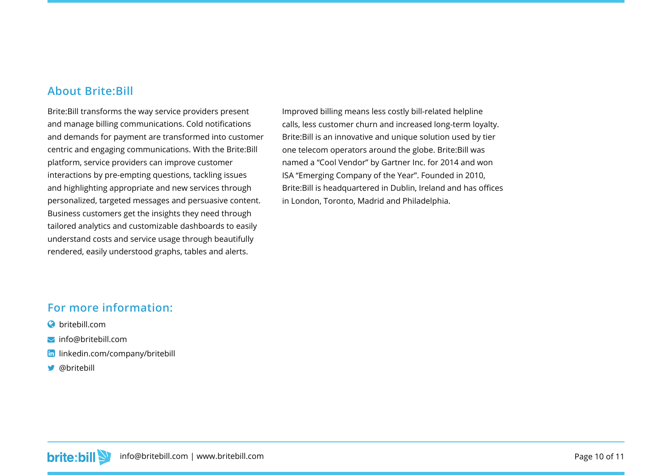#### **About Brite:Bill**

Brite:Bill transforms the way service providers present and manage billing communications. Cold notifications and demands for payment are transformed into customer centric and engaging communications. With the Brite:Bill platform, service providers can improve customer interactions by pre-empting questions, tackling issues and highlighting appropriate and new services through personalized, targeted messages and persuasive content. Business customers get the insights they need through tailored analytics and customizable dashboards to easily understand costs and service usage through beautifully rendered, easily understood graphs, tables and alerts.

Improved billing means less costly bill-related helpline calls, less customer churn and increased long-term loyalty. Brite:Bill is an innovative and unique solution used by tier one telecom operators around the globe. Brite:Bill was named a "Cool Vendor" by Gartner Inc. for 2014 and won ISA "Emerging Company of the Year". Founded in 2010, Brite:Bill is headquartered in Dublin, Ireland and has offices in London, Toronto, Madrid and Philadelphia.

#### **For more information:**

- **a** britebill com
- $\blacktriangleright$  [info@britebill.com](mailto:info%40britebill.com?subject=)
- **lin** [linkedin.com/company/britebill](https://www.linkedin.com/company/britebill)
- *S* [@britebill](https://twitter.com/britebill)